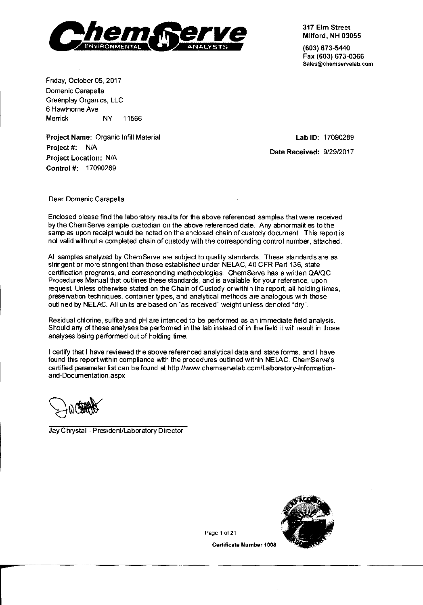

**317 Elm Street Milford, NH 03055** 

**(603) 673-5440 Fax (603) 673-0366 [Sales@chemservelab.com](mailto:Sales@chemservelab.com)** 

Friday, October 06, 2017 Domenic Carapella Greenplay Organics, LLC 6 Hawthorne Ave Merrick NY 11566

**Project Name:** Organic Infill Material **Project #: N/A <b>Date Received:** 9/29/2017 **Project Location:** N/A **Control** #: 17090289

**Lab ID:** 17090289

Dear Domenic Carapella

Enclosed please find the laboratory results for the above referenced samples that were received by the ChemServe sample custodian on the above referenced date. Any abnormalities to the samples upon receipt would be noted on the enclosed chain of custody document. This report is not valid without a completed chain of custody with the corresponding control number, attached.

All samples analyzed by ChemServe are subject to quality standards. These standards are as stringent or more stringent than those established under NELAC, 40 CFR Part 136, state certification programs, and corresponding methodologies. ChemServe has a written QA/QC Procedures Manual that outlines these standards, and is available for your reference, upon request Unless otherwise stated on the Chain of Custody orwithin the report, all holding times, preservation techniques, container types, and analytical methods are analogous with those outlined by NELAC. All units are based on "as received" weight unless denoted "dry".

Residual chlorine, sulfite and pH are intended to be performed as an immediate field analysis. Should any of these analyses be performed in the lab instead of in the field it will result in those analyses being performed out of holding time.

I certify that I have reviewed the above referenced analytical data and state forms, and I have found this report within compliance with the procedures outlined within NELAC. ChemServe's certified parameter list can be found at [http://www.chemservelab.com/Laboratory-lnformation](http://www.chemservelab.com/Laboratory-lnformation-)and-Documentation.aspx

Jay Chrystal - President/Laboratory Director



**Certificate Number 1008** 

Page 1 of 21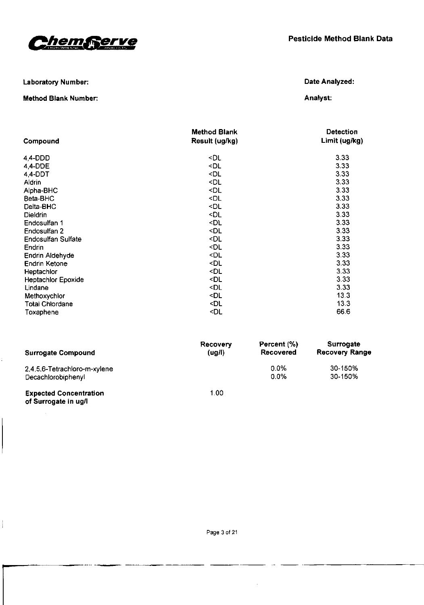

# **Laboratory Number: Date Analyzed:**

 $\frac{1}{2}$ 

## **Method Blank Number: Analyst: Analyst: Analyst: Analyst:**

|                           | <b>Method Blank</b>            | <b>Detection</b><br>Limit (ug/kg) |  |
|---------------------------|--------------------------------|-----------------------------------|--|
| Compound                  | Result (ug/kg)                 |                                   |  |
| 4,4-DDD                   | <dl< td=""><td>3.33</td></dl<> | 3.33                              |  |
| 4,4-DDE                   | <dl< td=""><td>3.33</td></dl<> | 3.33                              |  |
| 4,4-DDT                   | <dl< td=""><td>3.33</td></dl<> | 3.33                              |  |
| Aldrin                    | <dl< td=""><td>3.33</td></dl<> | 3.33                              |  |
| Alpha-BHC                 | <dl< td=""><td>3.33</td></dl<> | 3.33                              |  |
| Beta-BHC                  | <dl< td=""><td>3.33</td></dl<> | 3.33                              |  |
| Delta-BHC                 | <dl< td=""><td>3.33</td></dl<> | 3.33                              |  |
| Dieldrin                  | <dl< td=""><td>3.33</td></dl<> | 3.33                              |  |
| Endosulfan 1              | <dl< td=""><td>3.33</td></dl<> | 3.33                              |  |
| Endosulfan 2              | <dl< td=""><td>3.33</td></dl<> | 3.33                              |  |
| Endosulfan Sulfate        | <dl< td=""><td>3.33</td></dl<> | 3.33                              |  |
| <b>Endrin</b>             | <dl< td=""><td>3.33</td></dl<> | 3.33                              |  |
| <b>Endrin Aldehyde</b>    | <dl< td=""><td>3.33</td></dl<> | 3.33                              |  |
| Endrin Ketone             | <dl< td=""><td>3.33</td></dl<> | 3.33                              |  |
| Heptachlor                | <dl< td=""><td>3.33</td></dl<> | 3.33                              |  |
| <b>Heptachlor Epoxide</b> | <dl< td=""><td>3.33</td></dl<> | 3.33                              |  |
| Lindane                   | <dl< td=""><td>3.33</td></dl<> | 3.33                              |  |
| Methoxychlor              | <dl< td=""><td>13.3</td></dl<> | 13.3                              |  |
| Total Chlordane           | <dl< td=""><td>13.3</td></dl<> | 13.3                              |  |
| Toxaphene                 | <dl< td=""><td>66.6</td></dl<> | 66.6                              |  |

| <b>Surrogate Compound</b>                             | Recovery | Percent (%)      | Surrogate             |
|-------------------------------------------------------|----------|------------------|-----------------------|
|                                                       | (ug/l)   | <b>Recovered</b> | <b>Recovery Range</b> |
| 2,4,5,6-Tetrachloro-m-xylene                          |          | $0.0\%$          | 30-150%               |
| Decachlorobiphenyl                                    |          | $0.0\%$          | 30-150%               |
| <b>Expected Concentration</b><br>of Surrogate in ug/l | 1.00     |                  |                       |

Page 3 of 21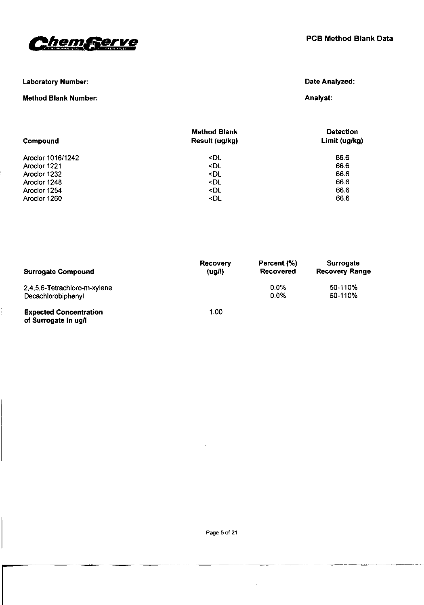

**Laboratory Number: Date Analyzed: Date Analyzed: Date Analyzed: Date Analyzed:** 

### **Method Blank Number: Analyst: Analyst: Analyst: Analyst:**

|                   | <b>Method Blank</b>            | <b>Detection</b> |  |
|-------------------|--------------------------------|------------------|--|
| Compound          | Result (ug/kg)                 | Limit (ug/kg)    |  |
| Aroclor 1016/1242 | <dl< td=""><td>66.6</td></dl<> | 66.6             |  |
| Aroclor 1221      | $-DL$                          | 66.6             |  |
| Aroclor 1232      | <dl< td=""><td>66.6</td></dl<> | 66.6             |  |
| Aroclor 1248      | <dl< td=""><td>66.6</td></dl<> | 66.6             |  |
| Aroclor 1254      | <dl< td=""><td>66.6</td></dl<> | 66.6             |  |
| Aroclor 1260      | <dl< td=""><td>66.6</td></dl<> | 66.6             |  |

| <b>Surrogate Compound</b>                             | Recovery | Percent (%) | <b>Surrogate</b>      |
|-------------------------------------------------------|----------|-------------|-----------------------|
|                                                       | (ug/l)   | Recovered   | <b>Recovery Range</b> |
| 2,4,5,6-Tetrachloro-m-xylene                          |          | 0.0%        | 50-110%               |
| Decachlorobiphenyl                                    |          | $0.0\%$     | 50-110%               |
| <b>Expected Concentration</b><br>of Surrogate in ug/l | 1.00     |             |                       |

Page 5 of 21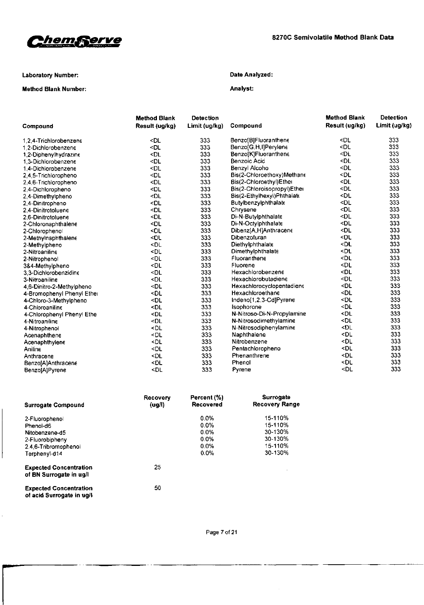

### **Laboratory Number: Date Analyzed: Date Analyzed: Date Analyzed:**

### **Method Blank Number: Analyst:**

| Compound                   | <b>Method Blank</b><br>Result (ug/kg)                                                                  | <b>Detection</b><br>Limit (ug/kg) | Compound                    | <b>Method Blank</b><br>Result (ug/kg) | <b>Detection</b><br>Limit (ug/kg) |
|----------------------------|--------------------------------------------------------------------------------------------------------|-----------------------------------|-----------------------------|---------------------------------------|-----------------------------------|
| 1.2.4-Trichlorobenzene     | <dl< td=""><td>333</td><td>Benzo[B]Fluoranthene</td><td><dl< td=""><td>333</td></dl<></td></dl<>       | 333                               | Benzo[B]Fluoranthene        | <dl< td=""><td>333</td></dl<>         | 333                               |
| 1.2-Dichlorobenzene        | <dl< td=""><td>333</td><td>Benzo[G H I]Pervlene</td><td><dl< td=""><td>333</td></dl<></td></dl<>       | 333                               | Benzo[G H I]Pervlene        | <dl< td=""><td>333</td></dl<>         | 333                               |
| 1.2-Diphenylhydrazine      | <dl< td=""><td>333</td><td>Benzo[K]Fluoranthene</td><td><dl< td=""><td>333</td></dl<></td></dl<>       | 333                               | Benzo[K]Fluoranthene        | <dl< td=""><td>333</td></dl<>         | 333                               |
| 1.3-Dichlorobenzene        | <dl< td=""><td>333</td><td>Benzoic Acid</td><td><dl< td=""><td>333</td></dl<></td></dl<>               | 333                               | Benzoic Acid                | <dl< td=""><td>333</td></dl<>         | 333                               |
| 1.4-Dichlorobenzene        | <dl< td=""><td>333</td><td>Benzyl Alcoho</td><td><dl< td=""><td>333</td></dl<></td></dl<>              | 333                               | Benzyl Alcoho               | <dl< td=""><td>333</td></dl<>         | 333                               |
| 2,4,5-Trichloropheno       | <dl< td=""><td>333</td><td>Bis(2-Chloroethoxy)Methane</td><td><dl< td=""><td>333</td></dl<></td></dl<> | 333                               | Bis(2-Chloroethoxy)Methane  | <dl< td=""><td>333</td></dl<>         | 333                               |
| 2,4,6-Trichloropheno       | <dl< td=""><td>333</td><td>Bis(2-Chloroethyl)Ether</td><td><dl< td=""><td>333</td></dl<></td></dl<>    | 333                               | Bis(2-Chloroethyl)Ether     | <dl< td=""><td>333</td></dl<>         | 333                               |
| 2.4-Dichloropheno          | $<$ DL                                                                                                 | 333                               | Bis(2-Chloroisopropyl)Ether | <dl< td=""><td>333</td></dl<>         | 333                               |
| 2.4-Dimethylpheno          | <dl< td=""><td>333</td><td>Bis(2-Ethylhexyl)Phthalate</td><td><dl< td=""><td>333</td></dl<></td></dl<> | 333                               | Bis(2-Ethylhexyl)Phthalate  | <dl< td=""><td>333</td></dl<>         | 333                               |
| 2.4-Dinitropheno           | $<$ DL                                                                                                 | 333                               | Butylbenzylphthalate        | <dl< td=""><td>333</td></dl<>         | 333                               |
| 2.4-Dinitrotoluene         | <dl< td=""><td>333</td><td>Chrysene</td><td><dl< td=""><td>333</td></dl<></td></dl<>                   | 333                               | Chrysene                    | <dl< td=""><td>333</td></dl<>         | 333                               |
| 2.6-Dinitrotoluene         | <dl< td=""><td>333</td><td>Di-N-Butylphthalate</td><td><dl< td=""><td>333</td></dl<></td></dl<>        | 333                               | Di-N-Butylphthalate         | <dl< td=""><td>333</td></dl<>         | 333                               |
| 2-Chloronaphthalene        | <dl< td=""><td>333</td><td>Di-N-Octylphthalate</td><td><dl< td=""><td>333</td></dl<></td></dl<>        | 333                               | Di-N-Octylphthalate         | <dl< td=""><td>333</td></dl<>         | 333                               |
| 2-Chlorophenol             | <dl< td=""><td>333</td><td>Dibenz[A,H]Anthracene</td><td><dl< td=""><td>333</td></dl<></td></dl<>      | 333                               | Dibenz[A,H]Anthracene       | <dl< td=""><td>333</td></dl<>         | 333                               |
| 2-Methylnaphthalene        | <dl< td=""><td>333</td><td>Dibenzofuran</td><td><dl< td=""><td>333</td></dl<></td></dl<>               | 333                               | Dibenzofuran                | <dl< td=""><td>333</td></dl<>         | 333                               |
| 2-Methylpheno              | <dl< td=""><td>333</td><td>Diethylphthalate</td><td><dl< td=""><td>333</td></dl<></td></dl<>           | 333                               | Diethylphthalate            | <dl< td=""><td>333</td></dl<>         | 333                               |
| 2-Nitroaniline             | <dl< td=""><td>333</td><td>Dimethylphthalate</td><td><dl< td=""><td>333</td></dl<></td></dl<>          | 333                               | Dimethylphthalate           | <dl< td=""><td>333</td></dl<>         | 333                               |
| 2-Nitrophenol              | <dl< td=""><td>333</td><td>Fluoranthene</td><td><dl< td=""><td>333</td></dl<></td></dl<>               | 333                               | Fluoranthene                | <dl< td=""><td>333</td></dl<>         | 333                               |
| 3&4-Methylpheno            | <dl< td=""><td>333</td><td>Fluorene</td><td><dl< td=""><td>333</td></dl<></td></dl<>                   | 333                               | Fluorene                    | <dl< td=""><td>333</td></dl<>         | 333                               |
| 3.3-Dichlorobenzidine      | <dl< td=""><td>333</td><td>Hexachlorobenzene</td><td><dl< td=""><td>333</td></dl<></td></dl<>          | 333                               | Hexachlorobenzene           | <dl< td=""><td>333</td></dl<>         | 333                               |
| 3-Nitroaniline             | <dl< td=""><td>333</td><td>Hexachlorobutadiene</td><td><dl< td=""><td>333</td></dl<></td></dl<>        | 333                               | Hexachlorobutadiene         | <dl< td=""><td>333</td></dl<>         | 333                               |
| 4.6-Dinitro-2-Methylpheno  | <dl< td=""><td>333</td><td>Hexachlorocyclopentadiene</td><td><dl< td=""><td>333</td></dl<></td></dl<>  | 333                               | Hexachlorocyclopentadiene   | <dl< td=""><td>333</td></dl<>         | 333                               |
| 4-Bromophenyl Phenyl Ether | <dl< td=""><td>333</td><td>Hexachloroethane</td><td><dl< td=""><td>333</td></dl<></td></dl<>           | 333                               | Hexachloroethane            | <dl< td=""><td>333</td></dl<>         | 333                               |
| 4-Chloro-3-Methylpheno     | <dl< td=""><td>333</td><td>Indeno[1,2,3-Cd]Pyrene</td><td><dl< td=""><td>333</td></dl<></td></dl<>     | 333                               | Indeno[1,2,3-Cd]Pyrene      | <dl< td=""><td>333</td></dl<>         | 333                               |
| 4-Chloroaniline            | <dl< td=""><td>333</td><td>Isophorone</td><td><dl< td=""><td>333</td></dl<></td></dl<>                 | 333                               | Isophorone                  | <dl< td=""><td>333</td></dl<>         | 333                               |
| 4-Chlorophenyl Phenyl Ethe | <dl< td=""><td>333</td><td>N-Nitroso-Di-N-Propylamine</td><td><dl< td=""><td>333</td></dl<></td></dl<> | 333                               | N-Nitroso-Di-N-Propylamine  | <dl< td=""><td>333</td></dl<>         | 333                               |
| 4-Nitroaniline             | $<$ DL                                                                                                 | 333                               | N-Nitrosodimethylamine      | <dl< td=""><td>333</td></dl<>         | 333                               |
| 4-Nitrophenoi              | $\n  <$ DL                                                                                             | 333                               | N-Nitrosodiphenylamine      | <dl< td=""><td>333</td></dl<>         | 333                               |
| Acenaphthene               | <dl< td=""><td>333</td><td>Naphthalene</td><td><dl< td=""><td>333</td></dl<></td></dl<>                | 333                               | Naphthalene                 | <dl< td=""><td>333</td></dl<>         | 333                               |
| Acenaphthylene             | <dl< td=""><td>333</td><td>Nitrobenzene</td><td><dl< td=""><td>333</td></dl<></td></dl<>               | 333                               | Nitrobenzene                | <dl< td=""><td>333</td></dl<>         | 333                               |
| Aniline                    | <dl< td=""><td>333</td><td>Pentachloropheno</td><td><dl< td=""><td>333</td></dl<></td></dl<>           | 333                               | Pentachloropheno            | <dl< td=""><td>333</td></dl<>         | 333                               |
| Anthracene                 | $<$ DL                                                                                                 | 333                               | Phenanthrene                | <dl< td=""><td>333</td></dl<>         | 333                               |
| Benzo[A]Anthracene         | <dl< td=""><td>333</td><td>Phenol</td><td><dl< td=""><td>333</td></dl<></td></dl<>                     | 333                               | Phenol                      | <dl< td=""><td>333</td></dl<>         | 333                               |
| Benzo[A]Pyrene             | CDL                                                                                                    | 333                               | Pyrene                      | <dl< td=""><td>333</td></dl<>         | 333                               |

| <b>Surrogate Compound</b>                                  | Recovery | Percent (%) | <b>Surrogate</b>      |
|------------------------------------------------------------|----------|-------------|-----------------------|
|                                                            | (ug/l)   | Recovered   | <b>Recovery Range</b> |
| 2-Fluorophenol                                             |          | $0.0\%$     | 15-110%               |
| Phenol-d6                                                  |          | 0.0%        | 15-110%               |
| Nitobenzene-d5                                             |          | 0.0%        | 30-130%               |
| 2-Fluorobipheny                                            |          | 0.0%        | 30-130%               |
| 2.4.6-Tribromophenoi                                       |          | 0.በ%        | 15-110%               |
| Terphenyl-d14                                              |          | $0.0\%$     | 30-130%               |
| <b>Expected Concentration</b><br>of BN Surrogate in ug/l   | 25       |             |                       |
| <b>Expected Concentration</b><br>of acid Surrogate in ug/l | 50       |             |                       |